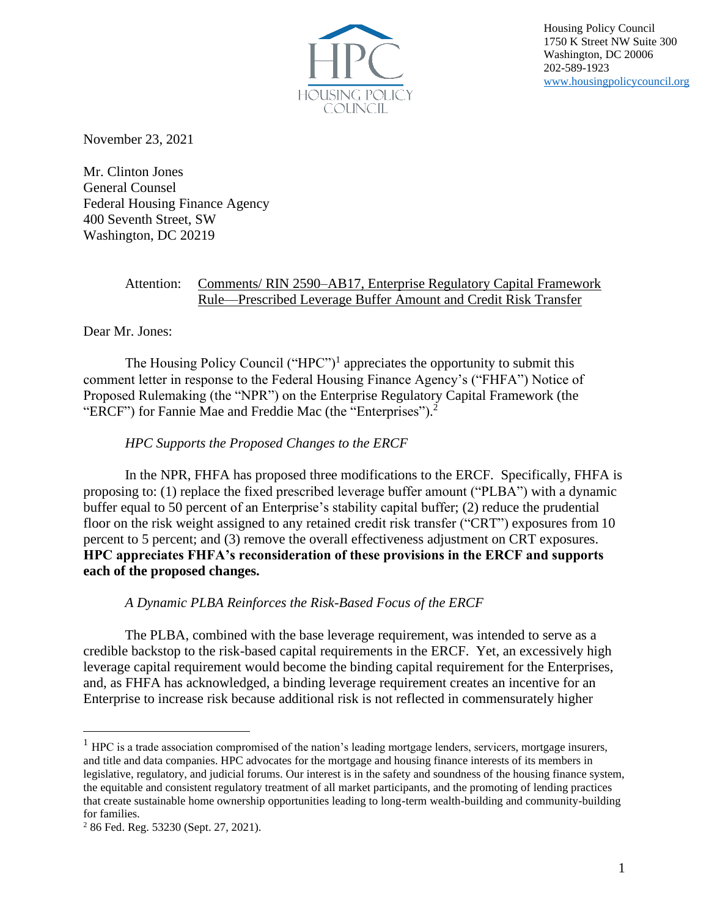

Housing Policy Council 1750 K Street NW Suite 300 Washington, DC 20006 202-589-1923 [www.housingpolicycouncil.org](http://www.housingpolicycouncil.org/)

November 23, 2021

Mr. Clinton Jones General Counsel Federal Housing Finance Agency 400 Seventh Street, SW Washington, DC 20219

# Attention: Comments/ RIN 2590–AB17, Enterprise Regulatory Capital Framework Rule—Prescribed Leverage Buffer Amount and Credit Risk Transfer

Dear Mr. Jones:

The Housing Policy Council ("HPC")<sup>1</sup> appreciates the opportunity to submit this comment letter in response to the Federal Housing Finance Agency's ("FHFA") Notice of Proposed Rulemaking (the "NPR") on the Enterprise Regulatory Capital Framework (the "ERCF") for Fannie Mae and Freddie Mac (the "Enterprises").<sup>2</sup>

# *HPC Supports the Proposed Changes to the ERCF*

In the NPR, FHFA has proposed three modifications to the ERCF. Specifically, FHFA is proposing to: (1) replace the fixed prescribed leverage buffer amount ("PLBA") with a dynamic buffer equal to 50 percent of an Enterprise's stability capital buffer; (2) reduce the prudential floor on the risk weight assigned to any retained credit risk transfer ("CRT") exposures from 10 percent to 5 percent; and (3) remove the overall effectiveness adjustment on CRT exposures. **HPC appreciates FHFA's reconsideration of these provisions in the ERCF and supports each of the proposed changes.**

# *A Dynamic PLBA Reinforces the Risk-Based Focus of the ERCF*

The PLBA, combined with the base leverage requirement, was intended to serve as a credible backstop to the risk-based capital requirements in the ERCF. Yet, an excessively high leverage capital requirement would become the binding capital requirement for the Enterprises, and, as FHFA has acknowledged, a binding leverage requirement creates an incentive for an Enterprise to increase risk because additional risk is not reflected in commensurately higher

 $<sup>1</sup>$  HPC is a trade association compromised of the nation's leading mortgage lenders, servicers, mortgage insurers,</sup> and title and data companies. HPC advocates for the mortgage and housing finance interests of its members in legislative, regulatory, and judicial forums. Our interest is in the safety and soundness of the housing finance system, the equitable and consistent regulatory treatment of all market participants, and the promoting of lending practices that create sustainable home ownership opportunities leading to long-term wealth-building and community-building for families.

<sup>2</sup> 86 Fed. Reg. 53230 (Sept. 27, 2021).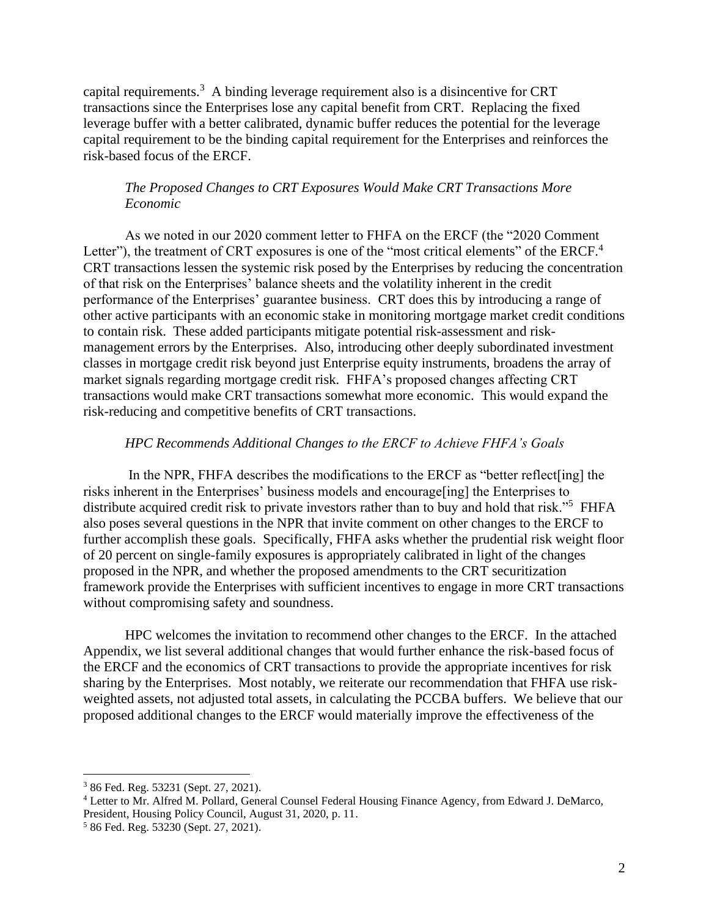capital requirements.<sup>3</sup> A binding leverage requirement also is a disincentive for CRT transactions since the Enterprises lose any capital benefit from CRT. Replacing the fixed leverage buffer with a better calibrated, dynamic buffer reduces the potential for the leverage capital requirement to be the binding capital requirement for the Enterprises and reinforces the risk-based focus of the ERCF.

## *The Proposed Changes to CRT Exposures Would Make CRT Transactions More Economic*

As we noted in our 2020 comment letter to FHFA on the ERCF (the "2020 Comment Letter"), the treatment of CRT exposures is one of the "most critical elements" of the ERCF. $4$ CRT transactions lessen the systemic risk posed by the Enterprises by reducing the concentration of that risk on the Enterprises' balance sheets and the volatility inherent in the credit performance of the Enterprises' guarantee business. CRT does this by introducing a range of other active participants with an economic stake in monitoring mortgage market credit conditions to contain risk. These added participants mitigate potential risk-assessment and riskmanagement errors by the Enterprises. Also, introducing other deeply subordinated investment classes in mortgage credit risk beyond just Enterprise equity instruments, broadens the array of market signals regarding mortgage credit risk. FHFA's proposed changes affecting CRT transactions would make CRT transactions somewhat more economic. This would expand the risk-reducing and competitive benefits of CRT transactions.

### *HPC Recommends Additional Changes to the ERCF to Achieve FHFA's Goals*

In the NPR, FHFA describes the modifications to the ERCF as "better reflect[ing] the risks inherent in the Enterprises' business models and encourage[ing] the Enterprises to distribute acquired credit risk to private investors rather than to buy and hold that risk."<sup>5</sup> FHFA also poses several questions in the NPR that invite comment on other changes to the ERCF to further accomplish these goals. Specifically, FHFA asks whether the prudential risk weight floor of 20 percent on single-family exposures is appropriately calibrated in light of the changes proposed in the NPR, and whether the proposed amendments to the CRT securitization framework provide the Enterprises with sufficient incentives to engage in more CRT transactions without compromising safety and soundness.

HPC welcomes the invitation to recommend other changes to the ERCF. In the attached Appendix, we list several additional changes that would further enhance the risk-based focus of the ERCF and the economics of CRT transactions to provide the appropriate incentives for risk sharing by the Enterprises. Most notably, we reiterate our recommendation that FHFA use riskweighted assets, not adjusted total assets, in calculating the PCCBA buffers. We believe that our proposed additional changes to the ERCF would materially improve the effectiveness of the

<sup>3</sup> 86 Fed. Reg. 53231 (Sept. 27, 2021).

<sup>4</sup> Letter to Mr. Alfred M. Pollard, General Counsel Federal Housing Finance Agency, from Edward J. DeMarco, President, Housing Policy Council, August 31, 2020, p. 11.

<sup>5</sup> 86 Fed. Reg. 53230 (Sept. 27, 2021).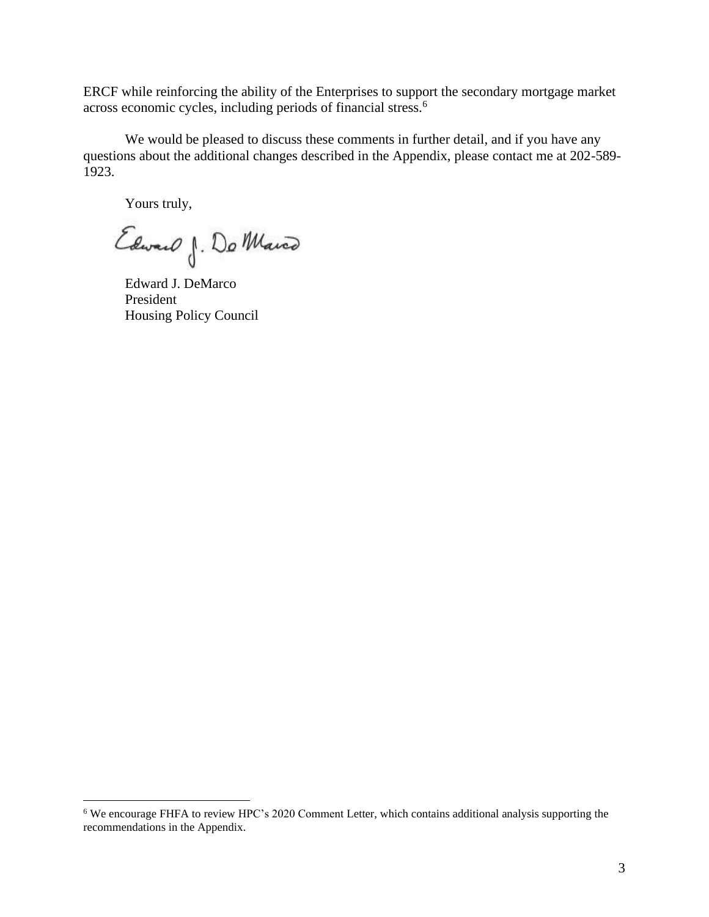ERCF while reinforcing the ability of the Enterprises to support the secondary mortgage market across economic cycles, including periods of financial stress.<sup>6</sup>

We would be pleased to discuss these comments in further detail, and if you have any questions about the additional changes described in the Appendix, please contact me at 202-589- 1923.

Yours truly,

Edward J. Do Marco

Edward J. DeMarco President Housing Policy Council

<sup>6</sup> We encourage FHFA to review HPC's 2020 Comment Letter, which contains additional analysis supporting the recommendations in the Appendix.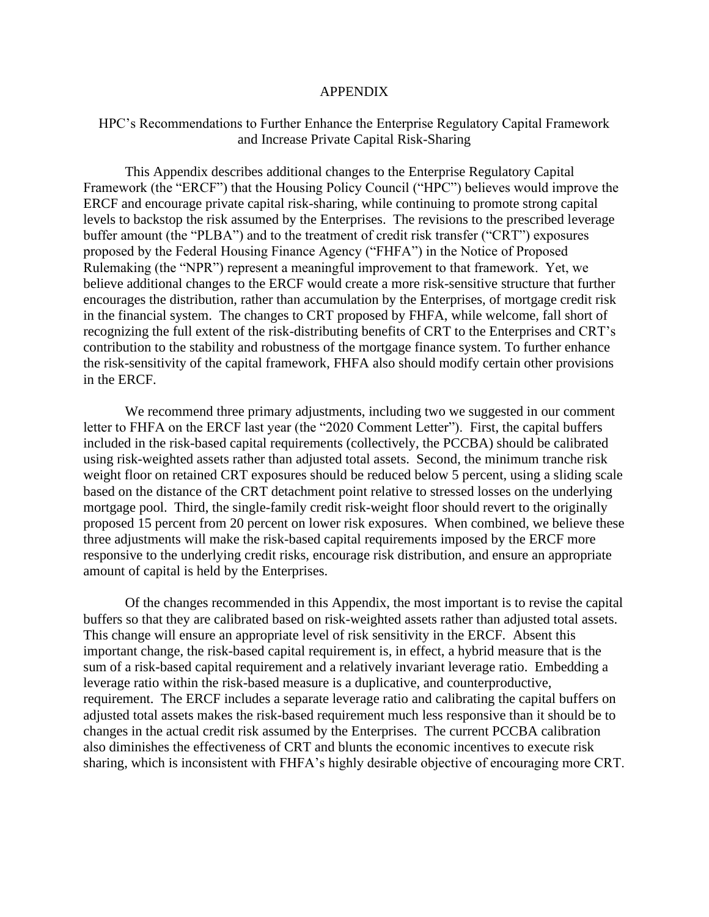#### APPENDIX

### HPC's Recommendations to Further Enhance the Enterprise Regulatory Capital Framework and Increase Private Capital Risk-Sharing

This Appendix describes additional changes to the Enterprise Regulatory Capital Framework (the "ERCF") that the Housing Policy Council ("HPC") believes would improve the ERCF and encourage private capital risk-sharing, while continuing to promote strong capital levels to backstop the risk assumed by the Enterprises. The revisions to the prescribed leverage buffer amount (the "PLBA") and to the treatment of credit risk transfer ("CRT") exposures proposed by the Federal Housing Finance Agency ("FHFA") in the Notice of Proposed Rulemaking (the "NPR") represent a meaningful improvement to that framework. Yet, we believe additional changes to the ERCF would create a more risk-sensitive structure that further encourages the distribution, rather than accumulation by the Enterprises, of mortgage credit risk in the financial system. The changes to CRT proposed by FHFA, while welcome, fall short of recognizing the full extent of the risk-distributing benefits of CRT to the Enterprises and CRT's contribution to the stability and robustness of the mortgage finance system. To further enhance the risk-sensitivity of the capital framework, FHFA also should modify certain other provisions in the ERCF.

We recommend three primary adjustments, including two we suggested in our comment letter to FHFA on the ERCF last year (the "2020 Comment Letter"). First, the capital buffers included in the risk-based capital requirements (collectively, the PCCBA) should be calibrated using risk-weighted assets rather than adjusted total assets. Second, the minimum tranche risk weight floor on retained CRT exposures should be reduced below 5 percent, using a sliding scale based on the distance of the CRT detachment point relative to stressed losses on the underlying mortgage pool. Third, the single-family credit risk-weight floor should revert to the originally proposed 15 percent from 20 percent on lower risk exposures. When combined, we believe these three adjustments will make the risk-based capital requirements imposed by the ERCF more responsive to the underlying credit risks, encourage risk distribution, and ensure an appropriate amount of capital is held by the Enterprises.

Of the changes recommended in this Appendix, the most important is to revise the capital buffers so that they are calibrated based on risk-weighted assets rather than adjusted total assets. This change will ensure an appropriate level of risk sensitivity in the ERCF. Absent this important change, the risk-based capital requirement is, in effect, a hybrid measure that is the sum of a risk-based capital requirement and a relatively invariant leverage ratio. Embedding a leverage ratio within the risk-based measure is a duplicative, and counterproductive, requirement. The ERCF includes a separate leverage ratio and calibrating the capital buffers on adjusted total assets makes the risk-based requirement much less responsive than it should be to changes in the actual credit risk assumed by the Enterprises. The current PCCBA calibration also diminishes the effectiveness of CRT and blunts the economic incentives to execute risk sharing, which is inconsistent with FHFA's highly desirable objective of encouraging more CRT.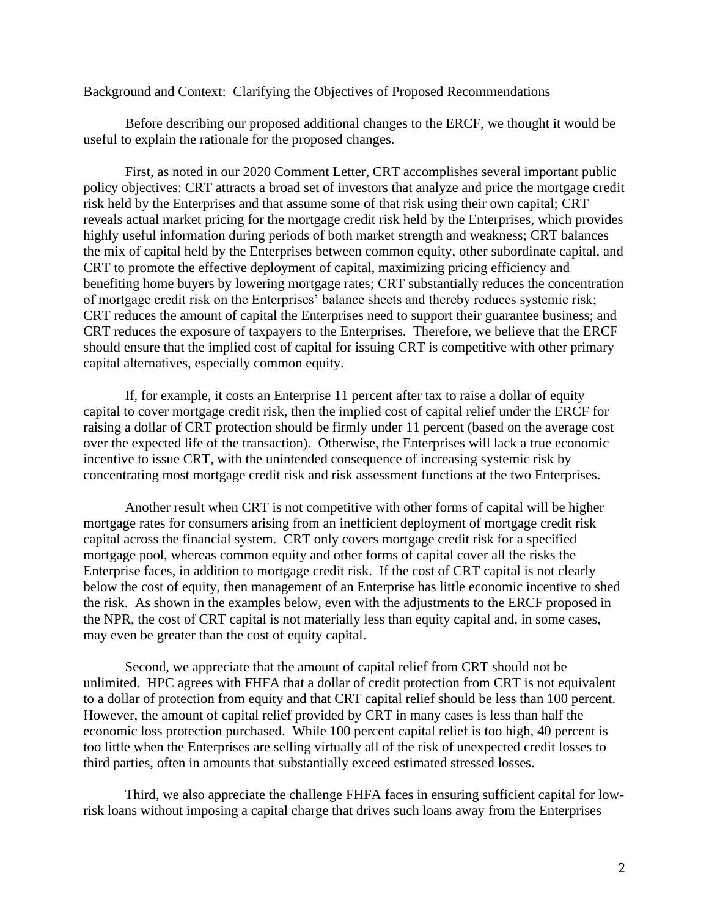### Background and Context: Clarifying the Objectives of Proposed Recommendations

Before describing our proposed additional changes to the ERCF, we thought it would be useful to explain the rationale for the proposed changes.

First, as noted in our 2020 Comment Letter, CRT accomplishes several important public policy objectives: CRT attracts a broad set of investors that analyze and price the mortgage credit risk held by the Enterprises and that assume some of that risk using their own capital; CRT reveals actual market pricing for the mortgage credit risk held by the Enterprises, which provides highly useful information during periods of both market strength and weakness; CRT balances the mix of capital held by the Enterprises between common equity, other subordinate capital, and CRT to promote the effective deployment of capital, maximizing pricing efficiency and benefiting home buyers by lowering mortgage rates; CRT substantially reduces the concentration of mortgage credit risk on the Enterprises' balance sheets and thereby reduces systemic risk; CRT reduces the amount of capital the Enterprises need to support their guarantee business; and CRT reduces the exposure of taxpayers to the Enterprises. Therefore, we believe that the ERCF should ensure that the implied cost of capital for issuing CRT is competitive with other primary capital alternatives, especially common equity.

If, for example, it costs an Enterprise 11 percent after tax to raise a dollar of equity capital to cover mortgage credit risk, then the implied cost of capital relief under the ERCF for raising a dollar of CRT protection should be firmly under 11 percent (based on the average cost over the expected life of the transaction). Otherwise, the Enterprises will lack a true economic incentive to issue CRT, with the unintended consequence of increasing systemic risk by concentrating most mortgage credit risk and risk assessment functions at the two Enterprises.

Another result when CRT is not competitive with other forms of capital will be higher mortgage rates for consumers arising from an inefficient deployment of mortgage credit risk capital across the financial system. CRT only covers mortgage credit risk for a specified mortgage pool, whereas common equity and other forms of capital cover all the risks the Enterprise faces, in addition to mortgage credit risk. If the cost of CRT capital is not clearly below the cost of equity, then management of an Enterprise has little economic incentive to shed the risk. As shown in the examples below, even with the adjustments to the ERCF proposed in the NPR, the cost of CRT capital is not materially less than equity capital and, in some cases, may even be greater than the cost of equity capital.

Second, we appreciate that the amount of capital relief from CRT should not be unlimited. HPC agrees with FHFA that a dollar of credit protection from CRT is not equivalent to a dollar of protection from equity and that CRT capital relief should be less than 100 percent. However, the amount of capital relief provided by CRT in many cases is less than half the economic loss protection purchased. While 100 percent capital relief is too high, 40 percent is too little when the Enterprises are selling virtually all of the risk of unexpected credit losses to third parties, often in amounts that substantially exceed estimated stressed losses.

Third, we also appreciate the challenge FHFA faces in ensuring sufficient capital for lowrisk loans without imposing a capital charge that drives such loans away from the Enterprises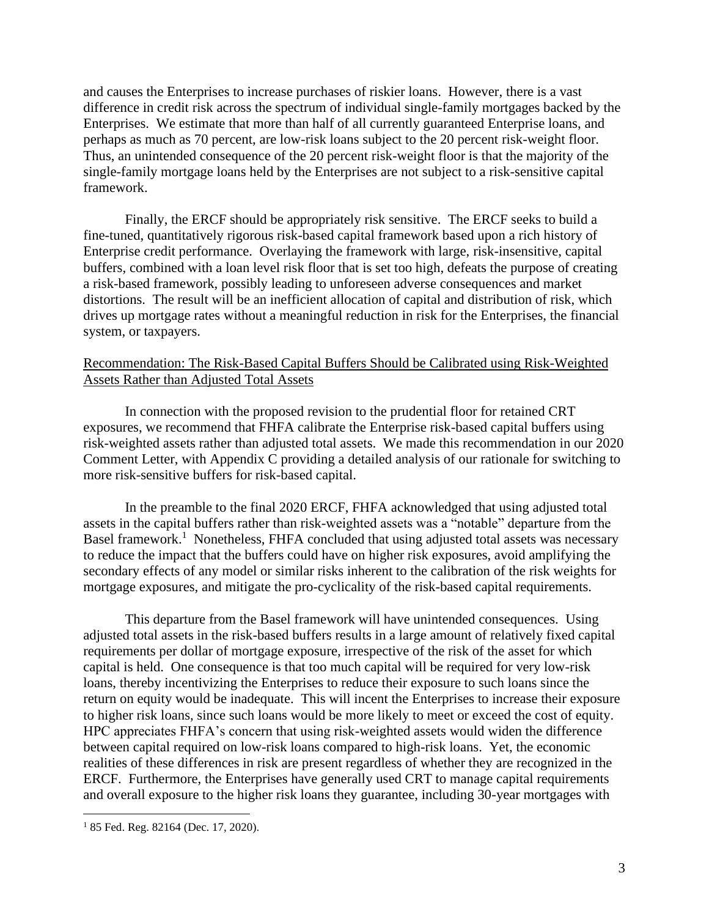and causes the Enterprises to increase purchases of riskier loans. However, there is a vast difference in credit risk across the spectrum of individual single-family mortgages backed by the Enterprises. We estimate that more than half of all currently guaranteed Enterprise loans, and perhaps as much as 70 percent, are low-risk loans subject to the 20 percent risk-weight floor. Thus, an unintended consequence of the 20 percent risk-weight floor is that the majority of the single-family mortgage loans held by the Enterprises are not subject to a risk-sensitive capital framework.

Finally, the ERCF should be appropriately risk sensitive. The ERCF seeks to build a fine-tuned, quantitatively rigorous risk-based capital framework based upon a rich history of Enterprise credit performance. Overlaying the framework with large, risk-insensitive, capital buffers, combined with a loan level risk floor that is set too high, defeats the purpose of creating a risk-based framework, possibly leading to unforeseen adverse consequences and market distortions. The result will be an inefficient allocation of capital and distribution of risk, which drives up mortgage rates without a meaningful reduction in risk for the Enterprises, the financial system, or taxpayers.

## Recommendation: The Risk-Based Capital Buffers Should be Calibrated using Risk-Weighted Assets Rather than Adjusted Total Assets

In connection with the proposed revision to the prudential floor for retained CRT exposures, we recommend that FHFA calibrate the Enterprise risk-based capital buffers using risk-weighted assets rather than adjusted total assets. We made this recommendation in our 2020 Comment Letter, with Appendix C providing a detailed analysis of our rationale for switching to more risk-sensitive buffers for risk-based capital.

In the preamble to the final 2020 ERCF, FHFA acknowledged that using adjusted total assets in the capital buffers rather than risk-weighted assets was a "notable" departure from the Basel framework.<sup>1</sup> Nonetheless, FHFA concluded that using adjusted total assets was necessary to reduce the impact that the buffers could have on higher risk exposures, avoid amplifying the secondary effects of any model or similar risks inherent to the calibration of the risk weights for mortgage exposures, and mitigate the pro-cyclicality of the risk-based capital requirements.

This departure from the Basel framework will have unintended consequences. Using adjusted total assets in the risk-based buffers results in a large amount of relatively fixed capital requirements per dollar of mortgage exposure, irrespective of the risk of the asset for which capital is held. One consequence is that too much capital will be required for very low-risk loans, thereby incentivizing the Enterprises to reduce their exposure to such loans since the return on equity would be inadequate. This will incent the Enterprises to increase their exposure to higher risk loans, since such loans would be more likely to meet or exceed the cost of equity. HPC appreciates FHFA's concern that using risk-weighted assets would widen the difference between capital required on low-risk loans compared to high-risk loans. Yet, the economic realities of these differences in risk are present regardless of whether they are recognized in the ERCF. Furthermore, the Enterprises have generally used CRT to manage capital requirements and overall exposure to the higher risk loans they guarantee, including 30-year mortgages with

<sup>&</sup>lt;sup>1</sup> 85 Fed. Reg. 82164 (Dec. 17, 2020).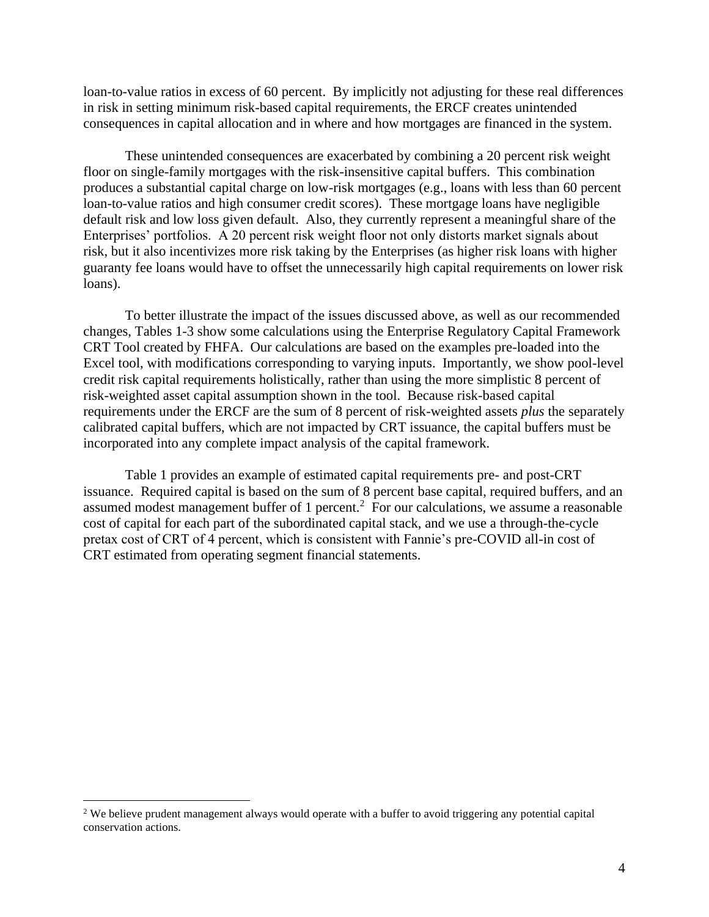loan-to-value ratios in excess of 60 percent. By implicitly not adjusting for these real differences in risk in setting minimum risk-based capital requirements, the ERCF creates unintended consequences in capital allocation and in where and how mortgages are financed in the system.

These unintended consequences are exacerbated by combining a 20 percent risk weight floor on single-family mortgages with the risk-insensitive capital buffers. This combination produces a substantial capital charge on low-risk mortgages (e.g., loans with less than 60 percent loan-to-value ratios and high consumer credit scores). These mortgage loans have negligible default risk and low loss given default. Also, they currently represent a meaningful share of the Enterprises' portfolios. A 20 percent risk weight floor not only distorts market signals about risk, but it also incentivizes more risk taking by the Enterprises (as higher risk loans with higher guaranty fee loans would have to offset the unnecessarily high capital requirements on lower risk loans).

To better illustrate the impact of the issues discussed above, as well as our recommended changes, Tables 1-3 show some calculations using the Enterprise Regulatory Capital Framework CRT Tool created by FHFA. Our calculations are based on the examples pre-loaded into the Excel tool, with modifications corresponding to varying inputs. Importantly, we show pool-level credit risk capital requirements holistically, rather than using the more simplistic 8 percent of risk-weighted asset capital assumption shown in the tool. Because risk-based capital requirements under the ERCF are the sum of 8 percent of risk-weighted assets *plus* the separately calibrated capital buffers, which are not impacted by CRT issuance, the capital buffers must be incorporated into any complete impact analysis of the capital framework.

Table 1 provides an example of estimated capital requirements pre- and post-CRT issuance. Required capital is based on the sum of 8 percent base capital, required buffers, and an assumed modest management buffer of 1 percent.<sup>2</sup> For our calculations, we assume a reasonable cost of capital for each part of the subordinated capital stack, and we use a through-the-cycle pretax cost of CRT of 4 percent, which is consistent with Fannie's pre-COVID all-in cost of CRT estimated from operating segment financial statements.

<sup>&</sup>lt;sup>2</sup> We believe prudent management always would operate with a buffer to avoid triggering any potential capital conservation actions.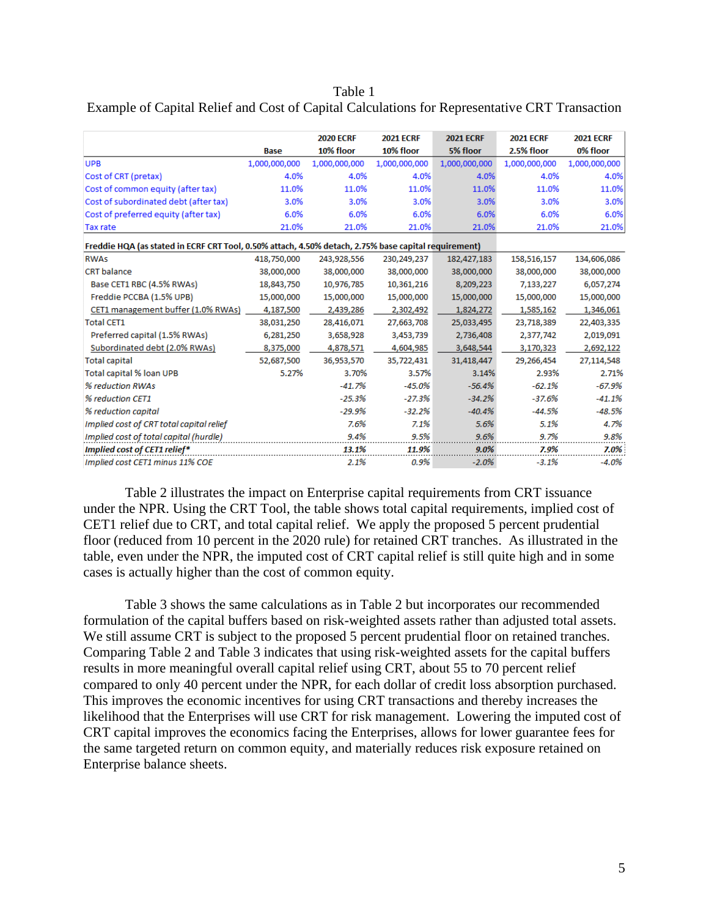Table 1 Example of Capital Relief and Cost of Capital Calculations for Representative CRT Transaction

|                                                                                                      |               | <b>2020 ECRF</b> | <b>2021 ECRF</b> | <b>2021 ECRF</b> | <b>2021 ECRF</b> | <b>2021 ECRF</b> |
|------------------------------------------------------------------------------------------------------|---------------|------------------|------------------|------------------|------------------|------------------|
|                                                                                                      | <b>Base</b>   | 10% floor        | 10% floor        | 5% floor         | 2.5% floor       | 0% floor         |
| <b>UPB</b>                                                                                           | 1,000,000,000 | 1,000,000,000    | 1,000,000,000    | 1,000,000,000    | 1,000,000,000    | 1,000,000,000    |
| Cost of CRT (pretax)                                                                                 | 4.0%          | 4.0%             | 4.0%             | 4.0%             | 4.0%             | 4.0%             |
| Cost of common equity (after tax)                                                                    | 11.0%         | 11.0%            | 11.0%            | 11.0%            | 11.0%            | 11.0%            |
| Cost of subordinated debt (after tax)                                                                | 3.0%          | 3.0%             | 3.0%             | 3.0%             | 3.0%             | 3.0%             |
| Cost of preferred equity (after tax)                                                                 | 6.0%          | 6.0%             | 6.0%             | 6.0%             | 6.0%             | 6.0%             |
| Tax rate                                                                                             | 21.0%         | 21.0%            | 21.0%            | 21.0%            | 21.0%            | 21.0%            |
| Freddie HQA (as stated in ECRF CRT Tool, 0.50% attach, 4.50% detach, 2.75% base capital requirement) |               |                  |                  |                  |                  |                  |
| <b>RWAs</b>                                                                                          | 418,750,000   | 243,928,556      | 230,249,237      | 182,427,183      | 158,516,157      | 134,606,086      |
| <b>CRT</b> balance                                                                                   | 38,000,000    | 38,000,000       | 38,000,000       | 38,000,000       | 38,000,000       | 38,000,000       |
| Base CET1 RBC (4.5% RWAs)                                                                            | 18,843,750    | 10,976,785       | 10,361,216       | 8,209,223        | 7,133,227        | 6,057,274        |
| Freddie PCCBA (1.5% UPB)                                                                             | 15,000,000    | 15,000,000       | 15,000,000       | 15,000,000       | 15,000,000       | 15,000,000       |
| CET1 management buffer (1.0% RWAs)                                                                   | 4,187,500     | 2,439,286        | 2,302,492        | 1,824,272        | 1,585,162        | 1,346,061        |
| <b>Total CET1</b>                                                                                    | 38,031,250    | 28,416,071       | 27,663,708       | 25,033,495       | 23,718,389       | 22,403,335       |
| Preferred capital (1.5% RWAs)                                                                        | 6,281,250     | 3,658,928        | 3,453,739        | 2,736,408        | 2,377,742        | 2,019,091        |
| Subordinated debt (2.0% RWAs)                                                                        | 8,375,000     | 4,878,571        | 4,604,985        | 3,648,544        | 3,170,323        | 2,692,122        |
| <b>Total capital</b>                                                                                 | 52,687,500    | 36,953,570       | 35,722,431       | 31,418,447       | 29,266,454       | 27,114,548       |
| <b>Total capital % loan UPB</b>                                                                      | 5.27%         | 3.70%            | 3.57%            | 3.14%            | 2.93%            | 2.71%            |
| % reduction RWAs                                                                                     |               | $-41.7%$         | $-45.0%$         | $-56.4%$         | $-62.1%$         | $-67.9%$         |
| % reduction CET1                                                                                     |               | $-25.3%$         | $-27.3%$         | $-34.2%$         | $-37.6%$         | $-41.1%$         |
| % reduction capital                                                                                  |               | $-29.9%$         | $-32.2%$         | $-40.4%$         | $-44.5%$         | $-48.5%$         |
| Implied cost of CRT total capital relief                                                             |               | 7.6%             | 7.1%             | 5.6%             | 5.1%             | 4.7%             |
| Implied cost of total capital (hurdle)                                                               |               | 9.4%             | 9.5%             | 9.6%             | 9.7%             | 9.8%             |
| Implied cost of CET1 relief*                                                                         |               | 13.1%            | 11.9%            | $9.0\%$          | 7.9%             | 7.0%             |
| Implied cost CET1 minus 11% COE                                                                      |               | 2.1%             | 0.9%             | $-2.0%$          | $-3.1%$          | $-4.0%$          |

Table 2 illustrates the impact on Enterprise capital requirements from CRT issuance under the NPR. Using the CRT Tool, the table shows total capital requirements, implied cost of CET1 relief due to CRT, and total capital relief. We apply the proposed 5 percent prudential floor (reduced from 10 percent in the 2020 rule) for retained CRT tranches. As illustrated in the table, even under the NPR, the imputed cost of CRT capital relief is still quite high and in some cases is actually higher than the cost of common equity.

Table 3 shows the same calculations as in Table 2 but incorporates our recommended formulation of the capital buffers based on risk-weighted assets rather than adjusted total assets. We still assume CRT is subject to the proposed 5 percent prudential floor on retained tranches. Comparing Table 2 and Table 3 indicates that using risk-weighted assets for the capital buffers results in more meaningful overall capital relief using CRT, about 55 to 70 percent relief compared to only 40 percent under the NPR, for each dollar of credit loss absorption purchased. This improves the economic incentives for using CRT transactions and thereby increases the likelihood that the Enterprises will use CRT for risk management. Lowering the imputed cost of CRT capital improves the economics facing the Enterprises, allows for lower guarantee fees for the same targeted return on common equity, and materially reduces risk exposure retained on Enterprise balance sheets.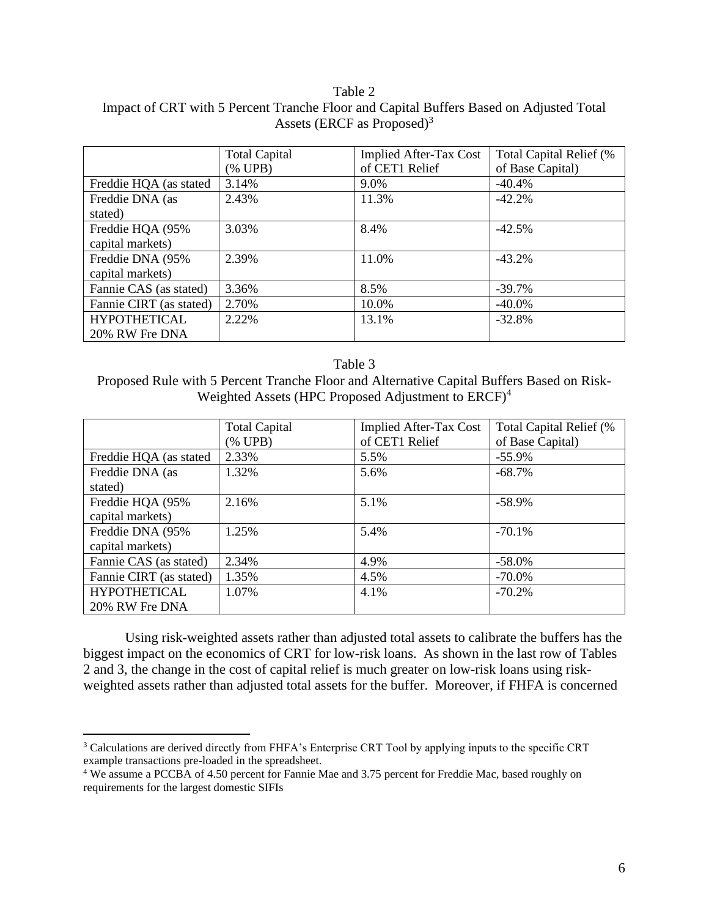## Table 2 Impact of CRT with 5 Percent Tranche Floor and Capital Buffers Based on Adjusted Total Assets (ERCF as Proposed)<sup>3</sup>

|                         | <b>Total Capital</b> | Implied After-Tax Cost | Total Capital Relief (% |
|-------------------------|----------------------|------------------------|-------------------------|
|                         | (% UPB)              | of CET1 Relief         | of Base Capital)        |
| Freddie HQA (as stated  | 3.14%                | 9.0%                   | $-40.4\%$               |
| Freddie DNA (as         | 2.43%                | 11.3%                  | $-42.2%$                |
| stated)                 |                      |                        |                         |
| Freddie HQA (95%        | 3.03%                | 8.4%                   | $-42.5%$                |
| capital markets)        |                      |                        |                         |
| Freddie DNA (95%        | 2.39%                | 11.0%                  | $-43.2%$                |
| capital markets)        |                      |                        |                         |
| Fannie CAS (as stated)  | 3.36%                | 8.5%                   | $-39.7%$                |
| Fannie CIRT (as stated) | 2.70%                | 10.0%                  | $-40.0\%$               |
| <b>HYPOTHETICAL</b>     | 2.22%                | 13.1%                  | $-32.8%$                |
| 20% RW Fre DNA          |                      |                        |                         |

### Table 3

# Proposed Rule with 5 Percent Tranche Floor and Alternative Capital Buffers Based on Risk-Weighted Assets (HPC Proposed Adjustment to ERCF)<sup>4</sup>

|                         | <b>Total Capital</b> | <b>Implied After-Tax Cost</b> | Total Capital Relief (% |
|-------------------------|----------------------|-------------------------------|-------------------------|
|                         | $(\%$ UPB)           | of CET1 Relief                | of Base Capital)        |
| Freddie HQA (as stated  | 2.33%                | 5.5%                          | $-55.9\%$               |
| Freddie DNA (as         | 1.32%                | 5.6%                          | $-68.7%$                |
| stated)                 |                      |                               |                         |
| Freddie HQA (95%        | 2.16%                | 5.1%                          | $-58.9%$                |
| capital markets)        |                      |                               |                         |
| Freddie DNA (95%        | 1.25%                | 5.4%                          | $-70.1\%$               |
| capital markets)        |                      |                               |                         |
| Fannie CAS (as stated)  | 2.34%                | 4.9%                          | $-58.0%$                |
| Fannie CIRT (as stated) | 1.35%                | 4.5%                          | $-70.0\%$               |
| <b>HYPOTHETICAL</b>     | 1.07%                | 4.1%                          | $-70.2%$                |
| 20% RW Fre DNA          |                      |                               |                         |

Using risk-weighted assets rather than adjusted total assets to calibrate the buffers has the biggest impact on the economics of CRT for low-risk loans. As shown in the last row of Tables 2 and 3, the change in the cost of capital relief is much greater on low-risk loans using riskweighted assets rather than adjusted total assets for the buffer. Moreover, if FHFA is concerned

<sup>&</sup>lt;sup>3</sup> Calculations are derived directly from FHFA's Enterprise CRT Tool by applying inputs to the specific CRT example transactions pre-loaded in the spreadsheet.

<sup>4</sup> We assume a PCCBA of 4.50 percent for Fannie Mae and 3.75 percent for Freddie Mac, based roughly on requirements for the largest domestic SIFIs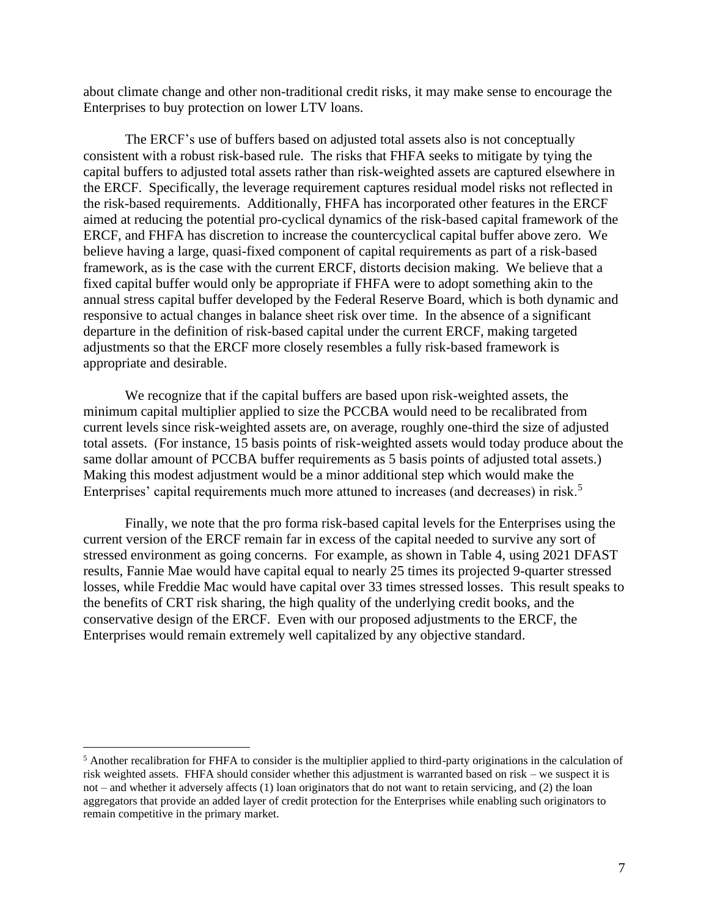about climate change and other non-traditional credit risks, it may make sense to encourage the Enterprises to buy protection on lower LTV loans.

The ERCF's use of buffers based on adjusted total assets also is not conceptually consistent with a robust risk-based rule. The risks that FHFA seeks to mitigate by tying the capital buffers to adjusted total assets rather than risk-weighted assets are captured elsewhere in the ERCF. Specifically, the leverage requirement captures residual model risks not reflected in the risk-based requirements. Additionally, FHFA has incorporated other features in the ERCF aimed at reducing the potential pro-cyclical dynamics of the risk-based capital framework of the ERCF, and FHFA has discretion to increase the countercyclical capital buffer above zero. We believe having a large, quasi-fixed component of capital requirements as part of a risk-based framework, as is the case with the current ERCF, distorts decision making. We believe that a fixed capital buffer would only be appropriate if FHFA were to adopt something akin to the annual stress capital buffer developed by the Federal Reserve Board, which is both dynamic and responsive to actual changes in balance sheet risk over time. In the absence of a significant departure in the definition of risk-based capital under the current ERCF, making targeted adjustments so that the ERCF more closely resembles a fully risk-based framework is appropriate and desirable.

We recognize that if the capital buffers are based upon risk-weighted assets, the minimum capital multiplier applied to size the PCCBA would need to be recalibrated from current levels since risk-weighted assets are, on average, roughly one-third the size of adjusted total assets. (For instance, 15 basis points of risk-weighted assets would today produce about the same dollar amount of PCCBA buffer requirements as 5 basis points of adjusted total assets.) Making this modest adjustment would be a minor additional step which would make the Enterprises' capital requirements much more attuned to increases (and decreases) in risk.<sup>5</sup>

Finally, we note that the pro forma risk-based capital levels for the Enterprises using the current version of the ERCF remain far in excess of the capital needed to survive any sort of stressed environment as going concerns. For example, as shown in Table 4, using 2021 DFAST results, Fannie Mae would have capital equal to nearly 25 times its projected 9-quarter stressed losses, while Freddie Mac would have capital over 33 times stressed losses. This result speaks to the benefits of CRT risk sharing, the high quality of the underlying credit books, and the conservative design of the ERCF. Even with our proposed adjustments to the ERCF, the Enterprises would remain extremely well capitalized by any objective standard.

<sup>&</sup>lt;sup>5</sup> Another recalibration for FHFA to consider is the multiplier applied to third-party originations in the calculation of risk weighted assets. FHFA should consider whether this adjustment is warranted based on risk – we suspect it is not – and whether it adversely affects (1) loan originators that do not want to retain servicing, and (2) the loan aggregators that provide an added layer of credit protection for the Enterprises while enabling such originators to remain competitive in the primary market.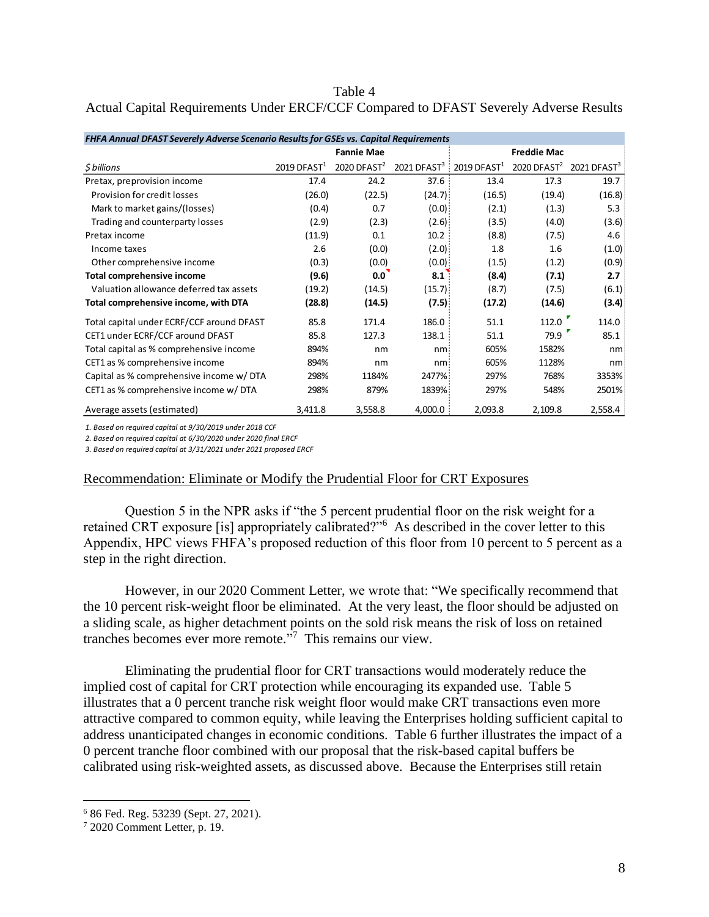Table 4 Actual Capital Requirements Under ERCF/CCF Compared to DFAST Severely Adverse Results

| <b>FHFA Annual DFAST Severely Adverse Scenario Results for GSEs vs. Capital Requirements</b> |                           |                           |                         |                   |                                                 |         |
|----------------------------------------------------------------------------------------------|---------------------------|---------------------------|-------------------------|-------------------|-------------------------------------------------|---------|
|                                                                                              |                           | <b>Fannie Mae</b>         |                         |                   | <b>Freddie Mac</b>                              |         |
| \$ billions                                                                                  | $2019$ DFAST <sup>1</sup> | $2020$ DFAST <sup>2</sup> | 2021 DFAST <sup>3</sup> | $2019$ DFAST $^1$ | 2020 DFAST <sup>2</sup> 2021 DFAST <sup>3</sup> |         |
| Pretax, preprovision income                                                                  | 17.4                      | 24.2                      | 37.6                    | 13.4              | 17.3                                            | 19.7    |
| Provision for credit losses                                                                  | (26.0)                    | (22.5)                    | (24.7)                  | (16.5)            | (19.4)                                          | (16.8)  |
| Mark to market gains/(losses)                                                                | (0.4)                     | 0.7                       | (0.0)                   | (2.1)             | (1.3)                                           | 5.3     |
| Trading and counterparty losses                                                              | (2.9)                     | (2.3)                     | (2.6)                   | (3.5)             | (4.0)                                           | (3.6)   |
| Pretax income                                                                                | (11.9)                    | 0.1                       | 10.2                    | (8.8)             | (7.5)                                           | 4.6     |
| Income taxes                                                                                 | 2.6                       | (0.0)                     | (2.0)                   | 1.8               | 1.6                                             | (1.0)   |
| Other comprehensive income                                                                   | (0.3)                     | (0.0)                     | (0.0)                   | (1.5)             | (1.2)                                           | (0.9)   |
| <b>Total comprehensive income</b>                                                            | (9.6)                     | 0.0                       | 8.1                     | (8.4)             | (7.1)                                           | 2.7     |
| Valuation allowance deferred tax assets                                                      | (19.2)                    | (14.5)                    | (15.7)                  | (8.7)             | (7.5)                                           | (6.1)   |
| Total comprehensive income, with DTA                                                         | (28.8)                    | (14.5)                    | (7.5)                   | (17.2)            | (14.6)                                          | (3.4)   |
| Total capital under ECRF/CCF around DFAST                                                    | 85.8                      | 171.4                     | 186.0                   | 51.1              | 112.0                                           | 114.0   |
| CET1 under ECRF/CCF around DFAST                                                             | 85.8                      | 127.3                     | 138.1                   | 51.1              | 79.9                                            | 85.1    |
| Total capital as % comprehensive income                                                      | 894%                      | nm                        | nm                      | 605%              | 1582%                                           | nm      |
| CET1 as % comprehensive income                                                               | 894%                      | nm                        | nm                      | 605%              | 1128%                                           | nm      |
| Capital as % comprehensive income w/DTA                                                      | 298%                      | 1184%                     | 2477%                   | 297%              | 768%                                            | 3353%   |
| CET1 as % comprehensive income w/DTA                                                         | 298%                      | 879%                      | 1839%                   | 297%              | 548%                                            | 2501%   |
| Average assets (estimated)                                                                   | 3,411.8                   | 3,558.8                   | 4,000.0                 | 2,093.8           | 2,109.8                                         | 2,558.4 |

*1. Based on required capital at 9/30/2019 under 2018 CCF*

*2. Based on required capital at 6/30/2020 under 2020 final ERCF*

*3. Based on required capital at 3/31/2021 under 2021 proposed ERCF*

### Recommendation: Eliminate or Modify the Prudential Floor for CRT Exposures

Question 5 in the NPR asks if "the 5 percent prudential floor on the risk weight for a retained CRT exposure [is] appropriately calibrated?"<sup>6</sup> As described in the cover letter to this Appendix, HPC views FHFA's proposed reduction of this floor from 10 percent to 5 percent as a step in the right direction.

However, in our 2020 Comment Letter, we wrote that: "We specifically recommend that the 10 percent risk-weight floor be eliminated. At the very least, the floor should be adjusted on a sliding scale, as higher detachment points on the sold risk means the risk of loss on retained tranches becomes ever more remote." 7 This remains our view.

Eliminating the prudential floor for CRT transactions would moderately reduce the implied cost of capital for CRT protection while encouraging its expanded use. Table 5 illustrates that a 0 percent tranche risk weight floor would make CRT transactions even more attractive compared to common equity, while leaving the Enterprises holding sufficient capital to address unanticipated changes in economic conditions. Table 6 further illustrates the impact of a 0 percent tranche floor combined with our proposal that the risk-based capital buffers be calibrated using risk-weighted assets, as discussed above. Because the Enterprises still retain

<sup>6</sup> 86 Fed. Reg. 53239 (Sept. 27, 2021).

<sup>7</sup> 2020 Comment Letter, p. 19.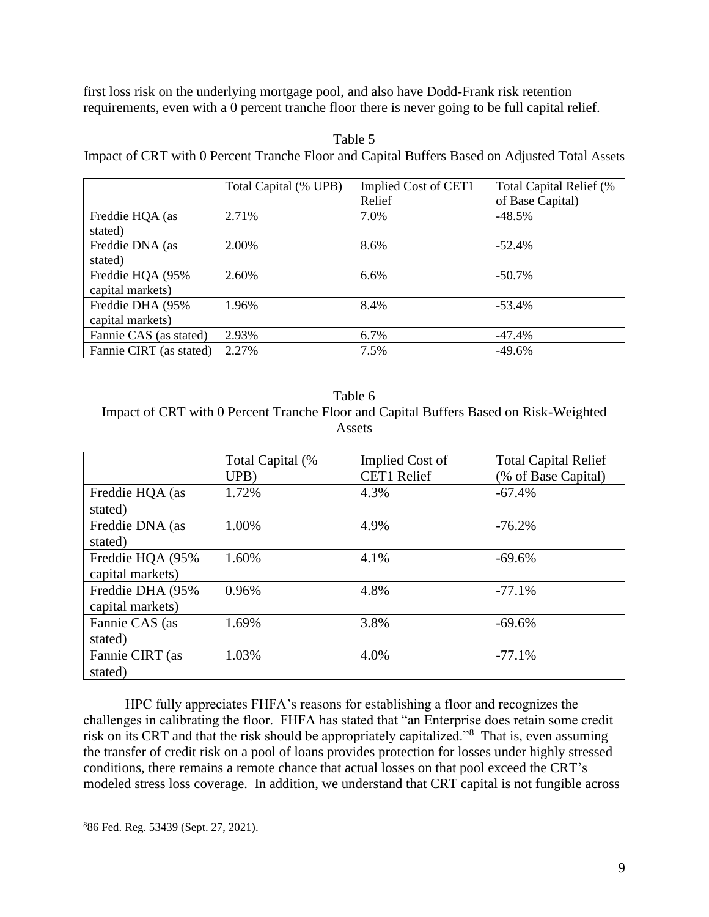first loss risk on the underlying mortgage pool, and also have Dodd-Frank risk retention requirements, even with a 0 percent tranche floor there is never going to be full capital relief.

Table 5 Impact of CRT with 0 Percent Tranche Floor and Capital Buffers Based on Adjusted Total Assets

|                         | Total Capital (% UPB) | <b>Implied Cost of CET1</b><br>Relief | Total Capital Relief (%<br>of Base Capital) |
|-------------------------|-----------------------|---------------------------------------|---------------------------------------------|
| Freddie HQA (as         | 2.71%                 | 7.0%                                  | $-48.5%$                                    |
| stated)                 |                       |                                       |                                             |
| Freddie DNA (as         | 2.00%                 | 8.6%                                  | $-52.4%$                                    |
| stated)                 |                       |                                       |                                             |
| Freddie HQA (95%        | 2.60%                 | 6.6%                                  | $-50.7\%$                                   |
| capital markets)        |                       |                                       |                                             |
| Freddie DHA (95%        | 1.96%                 | 8.4%                                  | $-53.4%$                                    |
| capital markets)        |                       |                                       |                                             |
| Fannie CAS (as stated)  | 2.93%                 | 6.7%                                  | -47.4%                                      |
| Fannie CIRT (as stated) | 2.27%                 | 7.5%                                  | $-49.6%$                                    |

Table 6 Impact of CRT with 0 Percent Tranche Floor and Capital Buffers Based on Risk-Weighted Assets

|                                      | Total Capital (%<br>UPB) | Implied Cost of<br><b>CET1</b> Relief | <b>Total Capital Relief</b><br>(% of Base Capital) |
|--------------------------------------|--------------------------|---------------------------------------|----------------------------------------------------|
| Freddie HQA (as<br>stated)           | 1.72%                    | 4.3%                                  | $-67.4%$                                           |
| Freddie DNA (as<br>stated)           | 1.00%                    | 4.9%                                  | $-76.2%$                                           |
| Freddie HQA (95%<br>capital markets) | 1.60%                    | 4.1%                                  | $-69.6%$                                           |
| Freddie DHA (95%<br>capital markets) | 0.96%                    | 4.8%                                  | $-77.1%$                                           |
| Fannie CAS (as<br>stated)            | 1.69%                    | 3.8%                                  | $-69.6%$                                           |
| Fannie CIRT (as<br>stated)           | 1.03%                    | 4.0%                                  | $-77.1%$                                           |

HPC fully appreciates FHFA's reasons for establishing a floor and recognizes the challenges in calibrating the floor. FHFA has stated that "an Enterprise does retain some credit risk on its CRT and that the risk should be appropriately capitalized."<sup>8</sup> That is, even assuming the transfer of credit risk on a pool of loans provides protection for losses under highly stressed conditions, there remains a remote chance that actual losses on that pool exceed the CRT's modeled stress loss coverage. In addition, we understand that CRT capital is not fungible across

<sup>8</sup>86 Fed. Reg. 53439 (Sept. 27, 2021).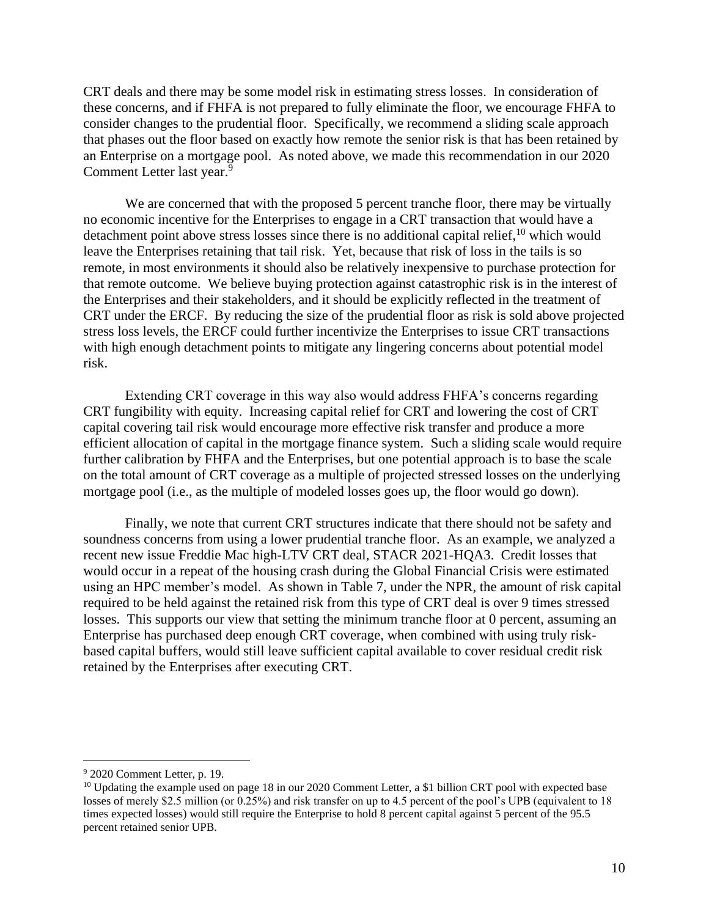CRT deals and there may be some model risk in estimating stress losses. In consideration of these concerns, and if FHFA is not prepared to fully eliminate the floor, we encourage FHFA to consider changes to the prudential floor. Specifically, we recommend a sliding scale approach that phases out the floor based on exactly how remote the senior risk is that has been retained by an Enterprise on a mortgage pool. As noted above, we made this recommendation in our 2020 Comment Letter last year.<sup>9</sup>

We are concerned that with the proposed 5 percent tranche floor, there may be virtually no economic incentive for the Enterprises to engage in a CRT transaction that would have a detachment point above stress losses since there is no additional capital relief,  $10$  which would leave the Enterprises retaining that tail risk. Yet, because that risk of loss in the tails is so remote, in most environments it should also be relatively inexpensive to purchase protection for that remote outcome. We believe buying protection against catastrophic risk is in the interest of the Enterprises and their stakeholders, and it should be explicitly reflected in the treatment of CRT under the ERCF. By reducing the size of the prudential floor as risk is sold above projected stress loss levels, the ERCF could further incentivize the Enterprises to issue CRT transactions with high enough detachment points to mitigate any lingering concerns about potential model risk.

Extending CRT coverage in this way also would address FHFA's concerns regarding CRT fungibility with equity. Increasing capital relief for CRT and lowering the cost of CRT capital covering tail risk would encourage more effective risk transfer and produce a more efficient allocation of capital in the mortgage finance system. Such a sliding scale would require further calibration by FHFA and the Enterprises, but one potential approach is to base the scale on the total amount of CRT coverage as a multiple of projected stressed losses on the underlying mortgage pool (i.e., as the multiple of modeled losses goes up, the floor would go down).

Finally, we note that current CRT structures indicate that there should not be safety and soundness concerns from using a lower prudential tranche floor. As an example, we analyzed a recent new issue Freddie Mac high-LTV CRT deal, STACR 2021-HQA3. Credit losses that would occur in a repeat of the housing crash during the Global Financial Crisis were estimated using an HPC member's model. As shown in Table 7, under the NPR, the amount of risk capital required to be held against the retained risk from this type of CRT deal is over 9 times stressed losses. This supports our view that setting the minimum tranche floor at 0 percent, assuming an Enterprise has purchased deep enough CRT coverage, when combined with using truly riskbased capital buffers, would still leave sufficient capital available to cover residual credit risk retained by the Enterprises after executing CRT.

<sup>9</sup> 2020 Comment Letter, p. 19.

<sup>&</sup>lt;sup>10</sup> Updating the example used on page 18 in our 2020 Comment Letter, a \$1 billion CRT pool with expected base losses of merely \$2.5 million (or 0.25%) and risk transfer on up to 4.5 percent of the pool's UPB (equivalent to 18 times expected losses) would still require the Enterprise to hold 8 percent capital against 5 percent of the 95.5 percent retained senior UPB.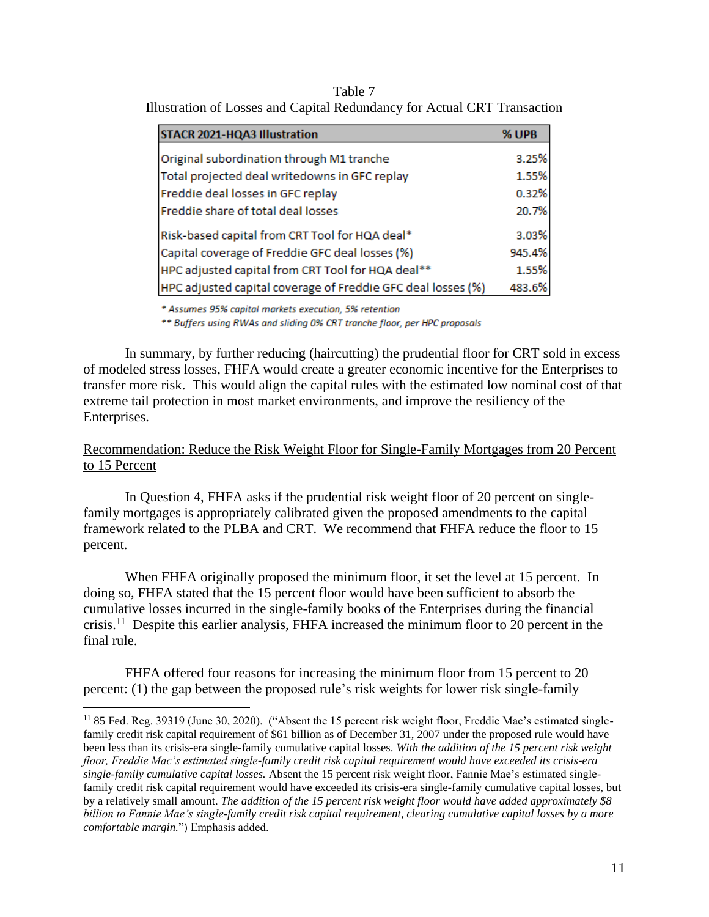| Table 7                                                                  |  |
|--------------------------------------------------------------------------|--|
| Illustration of Losses and Capital Redundancy for Actual CRT Transaction |  |

| STACR 2021-HQA3 Illustration                                 | % UPB  |
|--------------------------------------------------------------|--------|
| Original subordination through M1 tranche                    | 3.25%  |
| Total projected deal writedowns in GFC replay                | 1.55%  |
| Freddie deal losses in GFC replay                            | 0.32%  |
| Freddie share of total deal losses                           | 20.7%  |
| Risk-based capital from CRT Tool for HQA deal*               | 3.03%  |
| Capital coverage of Freddie GFC deal losses (%)              | 945.4% |
| HPC adjusted capital from CRT Tool for HQA deal**            | 1.55%  |
| HPC adjusted capital coverage of Freddie GFC deal losses (%) | 483.6% |

\* Assumes 95% capital markets execution, 5% retention

\*\* Buffers using RWAs and sliding 0% CRT tranche floor, per HPC proposals

In summary, by further reducing (haircutting) the prudential floor for CRT sold in excess of modeled stress losses, FHFA would create a greater economic incentive for the Enterprises to transfer more risk. This would align the capital rules with the estimated low nominal cost of that extreme tail protection in most market environments, and improve the resiliency of the Enterprises.

# Recommendation: Reduce the Risk Weight Floor for Single-Family Mortgages from 20 Percent to 15 Percent

In Question 4, FHFA asks if the prudential risk weight floor of 20 percent on singlefamily mortgages is appropriately calibrated given the proposed amendments to the capital framework related to the PLBA and CRT. We recommend that FHFA reduce the floor to 15 percent.

When FHFA originally proposed the minimum floor, it set the level at 15 percent. In doing so, FHFA stated that the 15 percent floor would have been sufficient to absorb the cumulative losses incurred in the single-family books of the Enterprises during the financial crisis.<sup>11</sup> Despite this earlier analysis, FHFA increased the minimum floor to 20 percent in the final rule.

FHFA offered four reasons for increasing the minimum floor from 15 percent to 20 percent: (1) the gap between the proposed rule's risk weights for lower risk single-family

<sup>&</sup>lt;sup>11</sup> 85 Fed. Reg. 39319 (June 30, 2020). ("Absent the 15 percent risk weight floor, Freddie Mac's estimated singlefamily credit risk capital requirement of \$61 billion as of December 31, 2007 under the proposed rule would have been less than its crisis-era single-family cumulative capital losses. *With the addition of the 15 percent risk weight floor, Freddie Mac's estimated single-family credit risk capital requirement would have exceeded its crisis-era single-family cumulative capital losses.* Absent the 15 percent risk weight floor, Fannie Mae's estimated singlefamily credit risk capital requirement would have exceeded its crisis-era single-family cumulative capital losses, but by a relatively small amount. *The addition of the 15 percent risk weight floor would have added approximately \$8 billion to Fannie Mae's single-family credit risk capital requirement, clearing cumulative capital losses by a more comfortable margin.*") Emphasis added.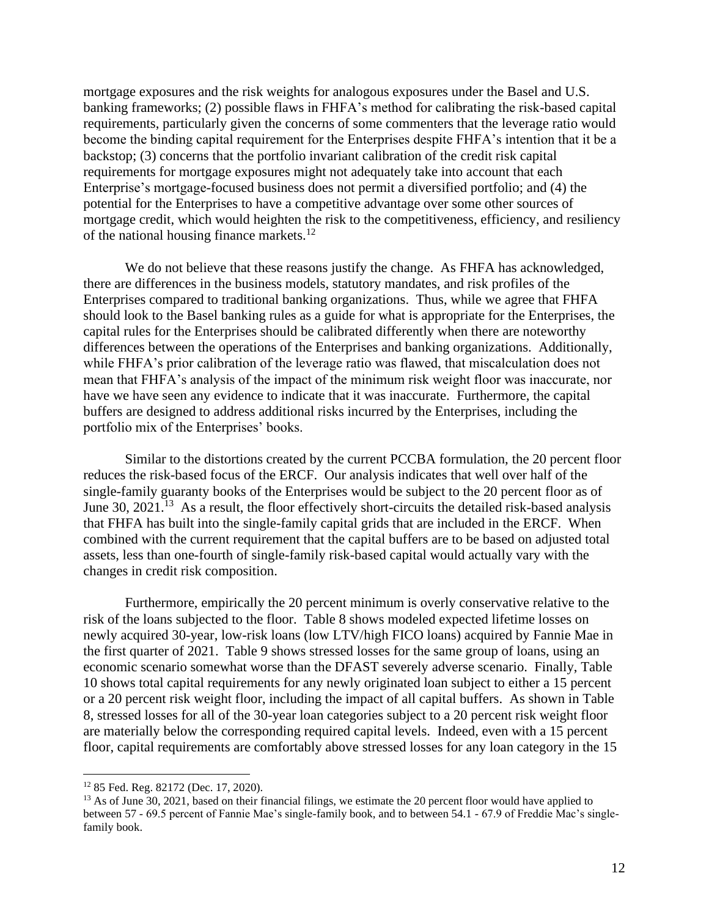mortgage exposures and the risk weights for analogous exposures under the Basel and U.S. banking frameworks; (2) possible flaws in FHFA's method for calibrating the risk-based capital requirements, particularly given the concerns of some commenters that the leverage ratio would become the binding capital requirement for the Enterprises despite FHFA's intention that it be a backstop; (3) concerns that the portfolio invariant calibration of the credit risk capital requirements for mortgage exposures might not adequately take into account that each Enterprise's mortgage-focused business does not permit a diversified portfolio; and (4) the potential for the Enterprises to have a competitive advantage over some other sources of mortgage credit, which would heighten the risk to the competitiveness, efficiency, and resiliency of the national housing finance markets.<sup>12</sup>

We do not believe that these reasons justify the change. As FHFA has acknowledged, there are differences in the business models, statutory mandates, and risk profiles of the Enterprises compared to traditional banking organizations. Thus, while we agree that FHFA should look to the Basel banking rules as a guide for what is appropriate for the Enterprises, the capital rules for the Enterprises should be calibrated differently when there are noteworthy differences between the operations of the Enterprises and banking organizations. Additionally, while FHFA's prior calibration of the leverage ratio was flawed, that miscalculation does not mean that FHFA's analysis of the impact of the minimum risk weight floor was inaccurate, nor have we have seen any evidence to indicate that it was inaccurate. Furthermore, the capital buffers are designed to address additional risks incurred by the Enterprises, including the portfolio mix of the Enterprises' books.

Similar to the distortions created by the current PCCBA formulation, the 20 percent floor reduces the risk-based focus of the ERCF. Our analysis indicates that well over half of the single-family guaranty books of the Enterprises would be subject to the 20 percent floor as of June 30, 2021.<sup>13</sup> As a result, the floor effectively short-circuits the detailed risk-based analysis that FHFA has built into the single-family capital grids that are included in the ERCF. When combined with the current requirement that the capital buffers are to be based on adjusted total assets, less than one-fourth of single-family risk-based capital would actually vary with the changes in credit risk composition.

Furthermore, empirically the 20 percent minimum is overly conservative relative to the risk of the loans subjected to the floor. Table 8 shows modeled expected lifetime losses on newly acquired 30-year, low-risk loans (low LTV/high FICO loans) acquired by Fannie Mae in the first quarter of 2021. Table 9 shows stressed losses for the same group of loans, using an economic scenario somewhat worse than the DFAST severely adverse scenario. Finally, Table 10 shows total capital requirements for any newly originated loan subject to either a 15 percent or a 20 percent risk weight floor, including the impact of all capital buffers. As shown in Table 8, stressed losses for all of the 30-year loan categories subject to a 20 percent risk weight floor are materially below the corresponding required capital levels. Indeed, even with a 15 percent floor, capital requirements are comfortably above stressed losses for any loan category in the 15

<sup>12</sup> 85 Fed. Reg. 82172 (Dec. 17, 2020).

<sup>&</sup>lt;sup>13</sup> As of June 30, 2021, based on their financial filings, we estimate the 20 percent floor would have applied to between 57 - 69.5 percent of Fannie Mae's single-family book, and to between 54.1 - 67.9 of Freddie Mac's singlefamily book.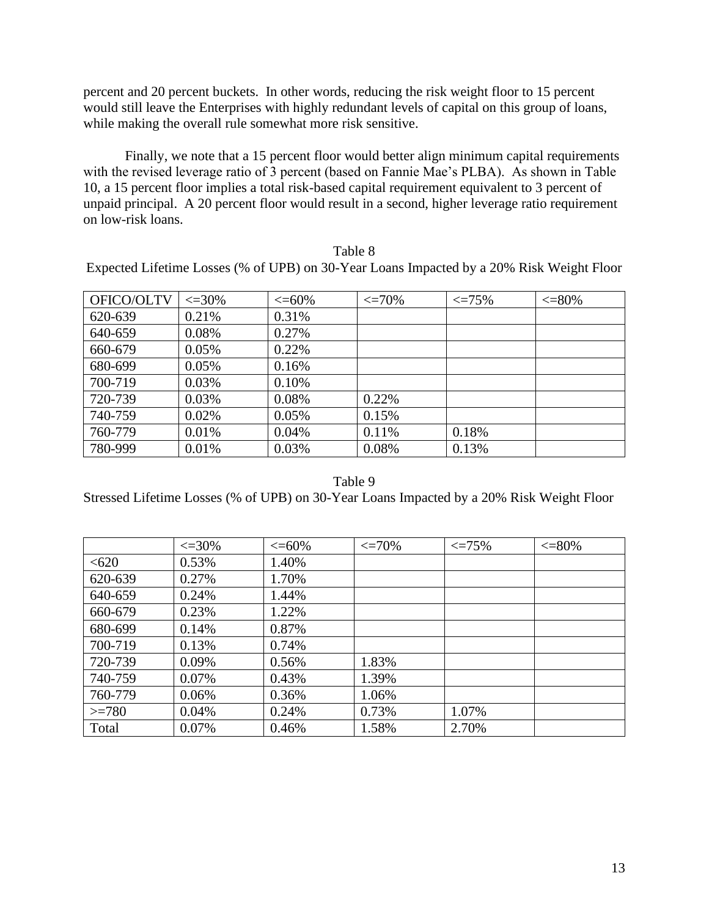percent and 20 percent buckets. In other words, reducing the risk weight floor to 15 percent would still leave the Enterprises with highly redundant levels of capital on this group of loans, while making the overall rule somewhat more risk sensitive.

Finally, we note that a 15 percent floor would better align minimum capital requirements with the revised leverage ratio of 3 percent (based on Fannie Mae's PLBA). As shown in Table 10, a 15 percent floor implies a total risk-based capital requirement equivalent to 3 percent of unpaid principal. A 20 percent floor would result in a second, higher leverage ratio requirement on low-risk loans.

| Table 8                                                                                  |  |
|------------------------------------------------------------------------------------------|--|
| Expected Lifetime Losses (% of UPB) on 30-Year Loans Impacted by a 20% Risk Weight Floor |  |

| OFICO/OLTV | $\leq 30\%$ | $\leq 60\%$ | $\leq$ 70% | $\leq$ 75% | $<=80%$ |
|------------|-------------|-------------|------------|------------|---------|
| 620-639    | 0.21%       | 0.31%       |            |            |         |
| 640-659    | 0.08%       | 0.27%       |            |            |         |
| 660-679    | 0.05%       | 0.22%       |            |            |         |
| 680-699    | 0.05%       | 0.16%       |            |            |         |
| 700-719    | 0.03%       | 0.10%       |            |            |         |
| 720-739    | 0.03%       | 0.08%       | 0.22%      |            |         |
| 740-759    | 0.02%       | 0.05%       | 0.15%      |            |         |
| 760-779    | 0.01%       | 0.04%       | 0.11%      | 0.18%      |         |
| 780-999    | 0.01%       | 0.03%       | 0.08%      | 0.13%      |         |

Table 9 Stressed Lifetime Losses (% of UPB) on 30-Year Loans Impacted by a 20% Risk Weight Floor

|         | $\leq 30\%$ | $\leq 60\%$ | $\leq$ 70% | $\leq$ 75% | $\leq=80\%$ |
|---------|-------------|-------------|------------|------------|-------------|
| < 620   | 0.53%       | 1.40%       |            |            |             |
| 620-639 | 0.27%       | 1.70%       |            |            |             |
| 640-659 | 0.24%       | 1.44%       |            |            |             |
| 660-679 | 0.23%       | 1.22%       |            |            |             |
| 680-699 | 0.14%       | 0.87%       |            |            |             |
| 700-719 | 0.13%       | 0.74%       |            |            |             |
| 720-739 | 0.09%       | 0.56%       | 1.83%      |            |             |
| 740-759 | 0.07%       | 0.43%       | 1.39%      |            |             |
| 760-779 | 0.06%       | 0.36%       | 1.06%      |            |             |
| $>=780$ | 0.04%       | 0.24%       | 0.73%      | 1.07%      |             |
| Total   | 0.07%       | 0.46%       | 1.58%      | 2.70%      |             |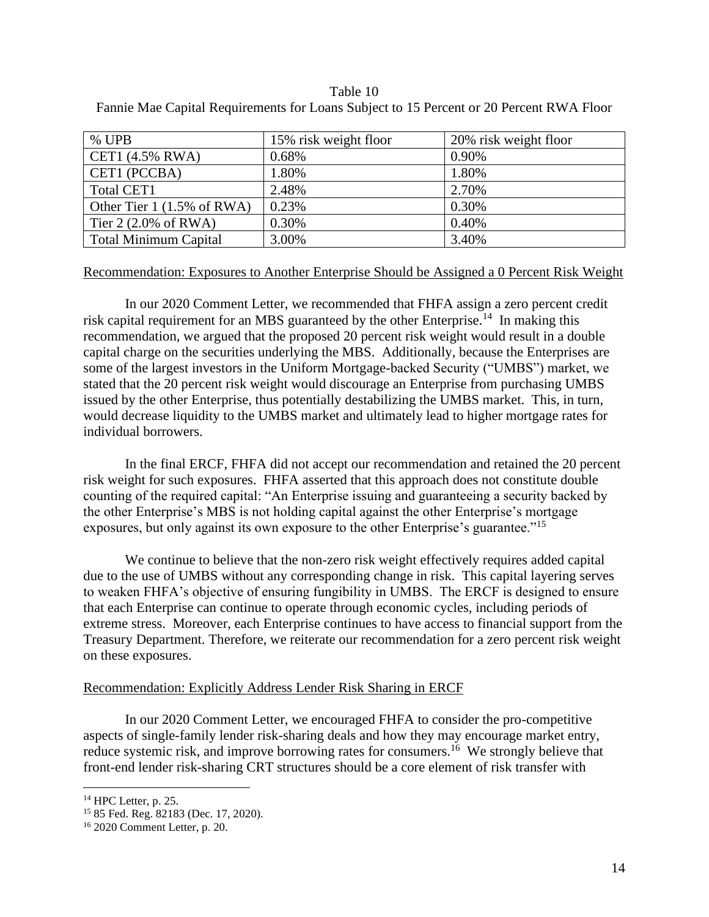#### Table 10

| % UPB                                 | 15% risk weight floor | 20% risk weight floor |
|---------------------------------------|-----------------------|-----------------------|
| CET1 (4.5% RWA)                       | 0.68%                 | 0.90%                 |
| CET1 (PCCBA)                          | 1.80%                 | 1.80%                 |
| <b>Total CET1</b>                     | 2.48%                 | 2.70%                 |
| Other Tier $1(1.5\% \text{ of } RWA)$ | 0.23%                 | 0.30%                 |
| Tier 2 $(2.0\% \text{ of } RWA)$      | 0.30%                 | 0.40%                 |

Fannie Mae Capital Requirements for Loans Subject to 15 Percent or 20 Percent RWA Floor

### Recommendation: Exposures to Another Enterprise Should be Assigned a 0 Percent Risk Weight

Total Minimum Capital  $\vert$  3.00%  $\vert$  3.40%

In our 2020 Comment Letter, we recommended that FHFA assign a zero percent credit risk capital requirement for an MBS guaranteed by the other Enterprise.<sup>14</sup> In making this recommendation, we argued that the proposed 20 percent risk weight would result in a double capital charge on the securities underlying the MBS. Additionally, because the Enterprises are some of the largest investors in the Uniform Mortgage-backed Security ("UMBS") market, we stated that the 20 percent risk weight would discourage an Enterprise from purchasing UMBS issued by the other Enterprise, thus potentially destabilizing the UMBS market. This, in turn, would decrease liquidity to the UMBS market and ultimately lead to higher mortgage rates for individual borrowers.

In the final ERCF, FHFA did not accept our recommendation and retained the 20 percent risk weight for such exposures. FHFA asserted that this approach does not constitute double counting of the required capital: "An Enterprise issuing and guaranteeing a security backed by the other Enterprise's MBS is not holding capital against the other Enterprise's mortgage exposures, but only against its own exposure to the other Enterprise's guarantee."<sup>15</sup>

We continue to believe that the non-zero risk weight effectively requires added capital due to the use of UMBS without any corresponding change in risk. This capital layering serves to weaken FHFA's objective of ensuring fungibility in UMBS. The ERCF is designed to ensure that each Enterprise can continue to operate through economic cycles, including periods of extreme stress. Moreover, each Enterprise continues to have access to financial support from the Treasury Department. Therefore, we reiterate our recommendation for a zero percent risk weight on these exposures.

## Recommendation: Explicitly Address Lender Risk Sharing in ERCF

In our 2020 Comment Letter, we encouraged FHFA to consider the pro-competitive aspects of single-family lender risk-sharing deals and how they may encourage market entry, reduce systemic risk, and improve borrowing rates for consumers.<sup>16</sup> We strongly believe that front-end lender risk-sharing CRT structures should be a core element of risk transfer with

<sup>&</sup>lt;sup>14</sup> HPC Letter, p. 25.

<sup>15</sup> 85 Fed. Reg. 82183 (Dec. 17, 2020).

<sup>16</sup> 2020 Comment Letter, p. 20.